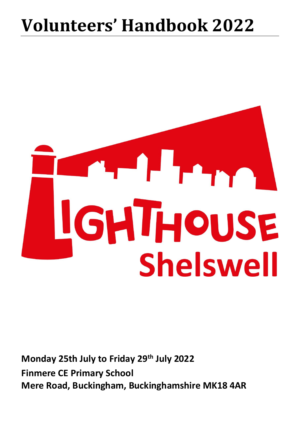# **Volunteers' Handbook 2022**



**Monday 25th July to Friday 29th July 2022 Finmere CE Primary School Mere Road, Buckingham, Buckinghamshire MK18 4AR**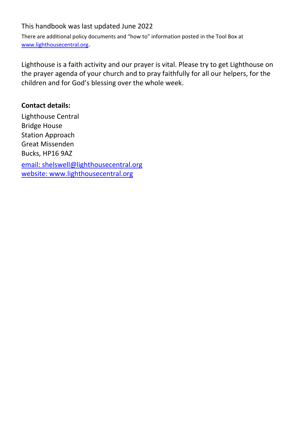#### This handbook was last updated June 2022

There are additional policy documents and "how to" information posted in the Tool Box at [www.lighthousecentral.org](about:blank).

Lighthouse is a faith activity and our prayer is vital. Please try to get Lighthouse on the prayer agenda of your church and to pray faithfully for all our helpers, for the children and for God's blessing over the whole week.

#### **Contact details:**

Lighthouse Central Bridge House Station Approach Great Missenden Bucks, HP16 9AZ email: [shelswell@lighthousecentral.org](about:blank) website: [www.lighthousecentral.org](about:blank)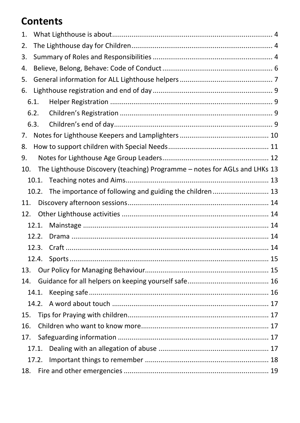# **Contents**

| 1.  |       |                                                                            |  |  |  |
|-----|-------|----------------------------------------------------------------------------|--|--|--|
| 2.  |       |                                                                            |  |  |  |
| 3.  |       |                                                                            |  |  |  |
| 4.  |       |                                                                            |  |  |  |
| 5.  |       |                                                                            |  |  |  |
| 6.  |       |                                                                            |  |  |  |
|     | 6.1.  |                                                                            |  |  |  |
|     | 6.2.  |                                                                            |  |  |  |
|     | 6.3.  |                                                                            |  |  |  |
| 7.  |       |                                                                            |  |  |  |
| 8.  |       |                                                                            |  |  |  |
| 9.  |       |                                                                            |  |  |  |
| 10. |       | The Lighthouse Discovery (teaching) Programme - notes for AGLs and LHKs 13 |  |  |  |
|     |       |                                                                            |  |  |  |
|     | 10.2. |                                                                            |  |  |  |
| 11. |       |                                                                            |  |  |  |
| 12. |       |                                                                            |  |  |  |
|     | 12.1. |                                                                            |  |  |  |
|     | 12.2. |                                                                            |  |  |  |
|     | 12.3. |                                                                            |  |  |  |
|     |       |                                                                            |  |  |  |
| 13. |       |                                                                            |  |  |  |
| 14. |       |                                                                            |  |  |  |
|     |       |                                                                            |  |  |  |
|     |       |                                                                            |  |  |  |
| 15. |       |                                                                            |  |  |  |
| 16. |       |                                                                            |  |  |  |
| 17. |       |                                                                            |  |  |  |
|     | 17.1. |                                                                            |  |  |  |
|     |       |                                                                            |  |  |  |
| 18. |       |                                                                            |  |  |  |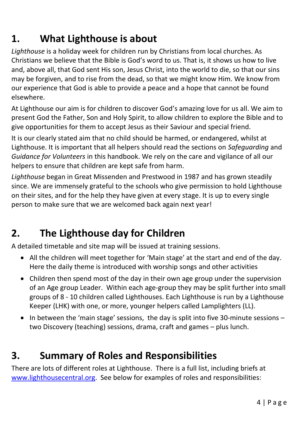# **1. What Lighthouse is about**

*Lighthouse* is a holiday week for children run by Christians from local churches. As Christians we believe that the Bible is God's word to us. That is, it shows us how to live and, above all, that God sent His son, Jesus Christ, into the world to die, so that our sins may be forgiven, and to rise from the dead, so that we might know Him. We know from our experience that God is able to provide a peace and a hope that cannot be found elsewhere.

At Lighthouse our aim is for children to discover God's amazing love for us all. We aim to present God the Father, Son and Holy Spirit, to allow children to explore the Bible and to give opportunities for them to accept Jesus as their Saviour and special friend.

It is our clearly stated aim that no child should be harmed, or endangered, whilst at Lighthouse. It is important that all helpers should read the sections on *Safeguarding* and *Guidance for Volunteers* in this handbook. We rely on the care and vigilance of all our helpers to ensure that children are kept safe from harm.

*Lighthouse* began in Great Missenden and Prestwood in 1987 and has grown steadily since. We are immensely grateful to the schools who give permission to hold Lighthouse on their sites, and for the help they have given at every stage. It is up to every single person to make sure that we are welcomed back again next year!

### **2. The Lighthouse day for Children**

A detailed timetable and site map will be issued at training sessions.

- All the children will meet together for 'Main stage' at the start and end of the day. Here the daily theme is introduced with worship songs and other activities
- Children then spend most of the day in their own age group under the supervision of an Age group Leader. Within each age-group they may be split further into small groups of 8 - 10 children called Lighthouses. Each Lighthouse is run by a Lighthouse Keeper (LHK) with one, or more, younger helpers called Lamplighters (LL).
- In between the 'main stage' sessions, the day is split into five 30-minute sessions two Discovery (teaching) sessions, drama, craft and games – plus lunch.

### **3. Summary of Roles and Responsibilities**

There are lots of different roles at Lighthouse. There is a full list, including briefs at [www.lighthousecentral.org.](about:blank) See below for examples of roles and responsibilities: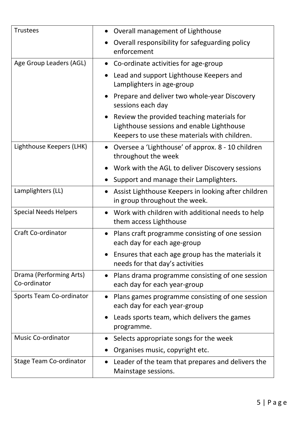| <b>Trustees</b>                         | Overall management of Lighthouse                                                                                                         |
|-----------------------------------------|------------------------------------------------------------------------------------------------------------------------------------------|
|                                         | Overall responsibility for safeguarding policy<br>enforcement                                                                            |
| Age Group Leaders (AGL)                 | • Co-ordinate activities for age-group                                                                                                   |
|                                         | Lead and support Lighthouse Keepers and<br>Lamplighters in age-group                                                                     |
|                                         | Prepare and deliver two whole-year Discovery<br>sessions each day                                                                        |
|                                         | Review the provided teaching materials for<br>Lighthouse sessions and enable Lighthouse<br>Keepers to use these materials with children. |
| Lighthouse Keepers (LHK)                | Oversee a 'Lighthouse' of approx. 8 - 10 children<br>throughout the week                                                                 |
|                                         | Work with the AGL to deliver Discovery sessions                                                                                          |
|                                         | Support and manage their Lamplighters.                                                                                                   |
| Lamplighters (LL)                       | Assist Lighthouse Keepers in looking after children<br>in group throughout the week.                                                     |
| <b>Special Needs Helpers</b>            | Work with children with additional needs to help<br>them access Lighthouse                                                               |
| <b>Craft Co-ordinator</b>               | Plans craft programme consisting of one session<br>each day for each age-group                                                           |
|                                         | Ensures that each age group has the materials it<br>needs for that day's activities                                                      |
| Drama (Performing Arts)<br>Co-ordinator | Plans drama programme consisting of one session<br>each day for each year-group                                                          |
| <b>Sports Team Co-ordinator</b>         | Plans games programme consisting of one session<br>each day for each year-group                                                          |
|                                         | Leads sports team, which delivers the games<br>programme.                                                                                |
| <b>Music Co-ordinator</b>               | Selects appropriate songs for the week<br>$\bullet$                                                                                      |
|                                         | Organises music, copyright etc.                                                                                                          |
| <b>Stage Team Co-ordinator</b>          | Leader of the team that prepares and delivers the<br>Mainstage sessions.                                                                 |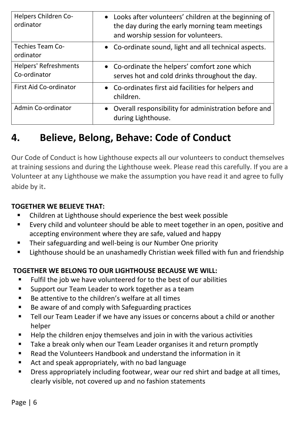| Helpers Children Co-<br>ordinator            | • Looks after volunteers' children at the beginning of<br>the day during the early morning team meetings<br>and worship session for volunteers. |
|----------------------------------------------|-------------------------------------------------------------------------------------------------------------------------------------------------|
| <b>Techies Team Co-</b><br>ordinator         | • Co-ordinate sound, light and all technical aspects.                                                                                           |
| <b>Helpers' Refreshments</b><br>Co-ordinator | • Co-ordinate the helpers' comfort zone which<br>serves hot and cold drinks throughout the day.                                                 |
| <b>First Aid Co-ordinator</b>                | • Co-ordinates first aid facilities for helpers and<br>children.                                                                                |
| Admin Co-ordinator                           | • Overall responsibility for administration before and<br>during Lighthouse.                                                                    |

# **4. Believe, Belong, Behave: Code of Conduct**

Our Code of Conduct is how Lighthouse expects all our volunteers to conduct themselves at training sessions and during the Lighthouse week. Please read this carefully. If you are a Volunteer at any Lighthouse we make the assumption you have read it and agree to fully abide by it.

#### **TOGETHER WE BELIEVE THAT:**

- Children at Lighthouse should experience the best week possible
- Every child and volunteer should be able to meet together in an open, positive and accepting environment where they are safe, valued and happy
- Their safeguarding and well-being is our Number One priority
- Lighthouse should be an unashamedly Christian week filled with fun and friendship

#### **TOGETHER WE BELONG TO OUR LIGHTHOUSE BECAUSE WE WILL:**

- Fulfil the job we have volunteered for to the best of our abilities
- Support our Team Leader to work together as a team
- Be attentive to the children's welfare at all times
- Be aware of and comply with Safeguarding practices
- Tell our Team Leader if we have any issues or concerns about a child or another helper
- Help the children enjoy themselves and join in with the various activities
- Take a break only when our Team Leader organises it and return promptly
- Read the Volunteers Handbook and understand the information in it
- Act and speak appropriately, with no bad language
- Dress appropriately including footwear, wear our red shirt and badge at all times, clearly visible, not covered up and no fashion statements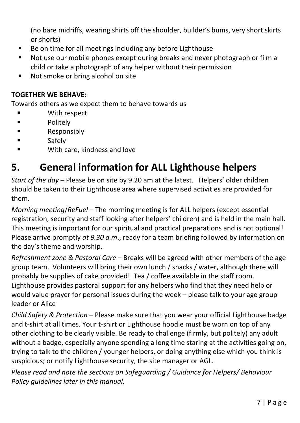(no bare midriffs, wearing shirts off the shoulder, builder's bums, very short skirts or shorts)

- Be on time for all meetings including any before Lighthouse
- Not use our mobile phones except during breaks and never photograph or film a child or take a photograph of any helper without their permission
- Not smoke or bring alcohol on site

#### **TOGETHER WE BEHAVE:**

Towards others as we expect them to behave towards us

- With respect
- Politely
- **Responsibly**
- **Safely**
- With care, kindness and love

### **5. General information for ALL Lighthouse helpers**

*Start of the day –* Please be on site by 9.20 am at the latest. Helpers' older children should be taken to their Lighthouse area where supervised activities are provided for them.

*Morning meeting/ReFuel* – The morning meeting is for ALL helpers (except essential registration, security and staff looking after helpers' children) and is held in the main hall. This meeting is important for our spiritual and practical preparations and is not optional! Please arrive promptly *at 9.30 a.m*., ready for a team briefing followed by information on the day's theme and worship.

*Refreshment zone & Pastoral Care* – Breaks will be agreed with other members of the age group team. Volunteers will bring their own lunch / snacks / water, although there will probably be supplies of cake provided! Tea / coffee available in the staff room. Lighthouse provides pastoral support for any helpers who find that they need help or would value prayer for personal issues during the week – please talk to your age group leader or Alice

*Child Safety & Protection* – Please make sure that you wear your official Lighthouse badge and t-shirt at all times. Your t-shirt or Lighthouse hoodie must be worn on top of any other clothing to be clearly visible. Be ready to challenge (firmly, but politely) any adult without a badge, especially anyone spending a long time staring at the activities going on, trying to talk to the children / younger helpers, or doing anything else which you think is suspicious; or notify Lighthouse security, the site manager or AGL.

*Please read and note the sections on Safeguarding / Guidance for Helpers/ Behaviour Policy guidelines later in this manual.*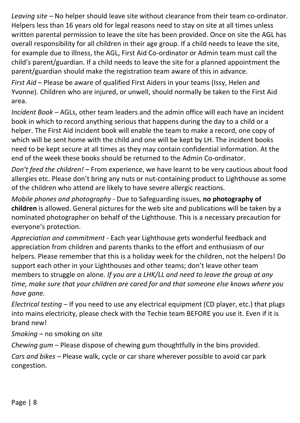*Leaving site* – No helper should leave site without clearance from their team co-ordinator. Helpers less than 16 years old for legal reasons need to stay on site at all times unless written parental permission to leave the site has been provided. Once on site the AGL has overall responsibility for all children in their age group. If a child needs to leave the site, for example due to illness, the AGL, First Aid Co-ordinator or Admin team must call the child's parent/guardian. If a child needs to leave the site for a planned appointment the parent/guardian should make the registration team aware of this in advance.

*First Aid* – Please be aware of qualified First Aiders in your teams (Issy, Helen and Yvonne). Children who are injured, or unwell, should normally be taken to the First Aid area.

*Incident Book* – AGLs, other team leaders and the admin office will each have an incident book in which to record anything serious that happens during the day to a child or a helper. The First Aid incident book will enable the team to make a record, one copy of which will be sent home with the child and one will be kept by LH. The incident books need to be kept secure at all times as they may contain confidential information. At the end of the week these books should be returned to the Admin Co-ordinator.

*Don't feed the children!* – From experience, we have learnt to be very cautious about food allergies etc. Please don't bring any nuts or nut-containing product to Lighthouse as some of the children who attend are likely to have severe allergic reactions.

*Mobile phones and photography* - Due to Safeguarding issues, **no photography of children** is allowed. General pictures for the web site and publications will be taken by a nominated photographer on behalf of the Lighthouse. This is a necessary precaution for everyone's protection.

*Appreciation and commitment* - Each year Lighthouse gets wonderful feedback and appreciation from children and parents thanks to the effort and enthusiasm of our helpers. Please remember that this is a holiday week for the children, not the helpers! Do support each other in your Lighthouses and other teams; don't leave other team members to struggle on alone. *If you are a LHK/LL and need to leave the group at any time, make sure that your children are cared for and that someone else knows where you have gone.*

*Electrical testing* – If you need to use any electrical equipment (CD player, etc.) that plugs into mains electricity, please check with the Techie team BEFORE you use it. Even if it is brand new!

*Smoking* – no smoking on site

*Chewing gum* – Please dispose of chewing gum thoughtfully in the bins provided.

*Cars and bikes* – Please walk, cycle or car share wherever possible to avoid car park congestion.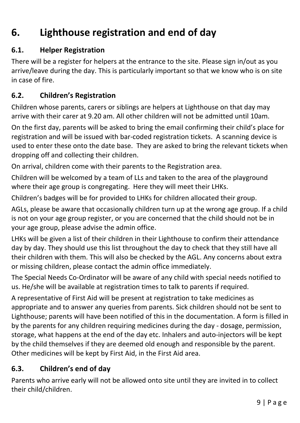# **6. Lighthouse registration and end of day**

#### **6.1. Helper Registration**

There will be a register for helpers at the entrance to the site. Please sign in/out as you arrive/leave during the day. This is particularly important so that we know who is on site in case of fire.

#### **6.2. Children's Registration**

Children whose parents, carers or siblings are helpers at Lighthouse on that day may arrive with their carer at 9.20 am. All other children will not be admitted until 10am.

On the first day, parents will be asked to bring the email confirming their child's place for registration and will be issued with bar-coded registration tickets. A scanning device is used to enter these onto the date base. They are asked to bring the relevant tickets when dropping off and collecting their children.

On arrival, children come with their parents to the Registration area.

Children will be welcomed by a team of LLs and taken to the area of the playground where their age group is congregating. Here they will meet their LHKs.

Children's badges will be for provided to LHKs for children allocated their group.

AGLs, please be aware that occasionally children turn up at the wrong age group. If a child is not on your age group register, or you are concerned that the child should not be in your age group, please advise the admin office.

LHKs will be given a list of their children in their Lighthouse to confirm their attendance day by day. They should use this list throughout the day to check that they still have all their children with them. This will also be checked by the AGL. Any concerns about extra or missing children, please contact the admin office immediately.

The Special Needs Co-Ordinator will be aware of any child with special needs notified to us. He/she will be available at registration times to talk to parents if required.

A representative of First Aid will be present at registration to take medicines as appropriate and to answer any queries from parents. Sick children should not be sent to Lighthouse; parents will have been notified of this in the documentation. A form is filled in by the parents for any children requiring medicines during the day - dosage, permission, storage, what happens at the end of the day etc. Inhalers and auto-injectors will be kept by the child themselves if they are deemed old enough and responsible by the parent. Other medicines will be kept by First Aid, in the First Aid area.

#### **6.3. Children's end of day**

Parents who arrive early will not be allowed onto site until they are invited in to collect their child/children.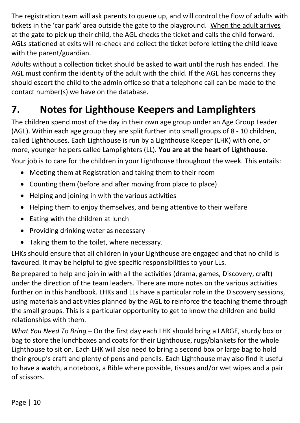The registration team will ask parents to queue up, and will control the flow of adults with tickets in the 'car park' area outside the gate to the playground. When the adult arrives at the gate to pick up their child, the AGL checks the ticket and calls the child forward. AGLs stationed at exits will re-check and collect the ticket before letting the child leave with the parent/guardian.

Adults without a collection ticket should be asked to wait until the rush has ended. The AGL must confirm the identity of the adult with the child. If the AGL has concerns they should escort the child to the admin office so that a telephone call can be made to the contact number(s) we have on the database.

# **7. Notes for Lighthouse Keepers and Lamplighters**

The children spend most of the day in their own age group under an Age Group Leader (AGL). Within each age group they are split further into small groups of 8 - 10 children, called Lighthouses. Each Lighthouse is run by a Lighthouse Keeper (LHK) with one, or more, younger helpers called Lamplighters (LL). **You are at the heart of Lighthouse.** Your job is to care for the children in your Lighthouse throughout the week. This entails:

- Meeting them at Registration and taking them to their room
- Counting them (before and after moving from place to place)
- Helping and joining in with the various activities
- Helping them to enjoy themselves, and being attentive to their welfare
- Eating with the children at lunch
- Providing drinking water as necessary
- Taking them to the toilet, where necessary.

LHKs should ensure that all children in your Lighthouse are engaged and that no child is favoured. It may be helpful to give specific responsibilities to your LLs.

Be prepared to help and join in with all the activities (drama, games, Discovery, craft) under the direction of the team leaders. There are more notes on the various activities further on in this handbook. LHKs and LLs have a particular role in the Discovery sessions, using materials and activities planned by the AGL to reinforce the teaching theme through the small groups. This is a particular opportunity to get to know the children and build relationships with them.

*What You Need To Bring* – On the first day each LHK should bring a LARGE, sturdy box or bag to store the lunchboxes and coats for their Lighthouse, rugs/blankets for the whole Lighthouse to sit on. Each LHK will also need to bring a second box or large bag to hold their group's craft and plenty of pens and pencils. Each Lighthouse may also find it useful to have a watch, a notebook, a Bible where possible, tissues and/or wet wipes and a pair of scissors.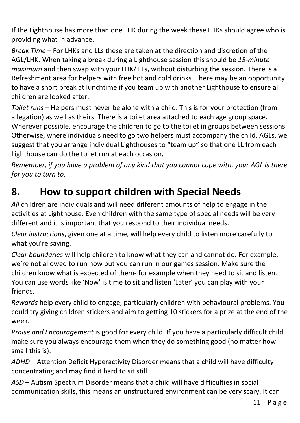If the Lighthouse has more than one LHK during the week these LHKs should agree who is providing what in advance.

*Break Time* – For LHKs and LLs these are taken at the direction and discretion of the AGL/LHK. When taking a break during a Lighthouse session this should be *15-minute maximum* and then swap with your LHK/ LLs, without disturbing the session. There is a Refreshment area for helpers with free hot and cold drinks. There may be an opportunity to have a short break at lunchtime if you team up with another Lighthouse to ensure all children are looked after.

*Toilet runs* – Helpers must never be alone with a child. This is for your protection (from allegation) as well as theirs. There is a toilet area attached to each age group space. Wherever possible, encourage the children to go to the toilet in groups between sessions. Otherwise, where individuals need to go two helpers must accompany the child. AGLs, we suggest that you arrange individual Lighthouses to "team up" so that one LL from each Lighthouse can do the toilet run at each occasion*.*

*Remember, if you have a problem of any kind that you cannot cope with, your AGL is there for you to turn to.*

# **8. How to support children with Special Needs**

*All* children are individuals and will need different amounts of help to engage in the activities at Lighthouse. Even children with the same type of special needs will be very different and it is important that you respond to their individual needs.

*Clear instructions*, given one at a time, will help every child to listen more carefully to what you're saying.

*Clear boundaries* will help children to know what they can and cannot do. For example, we're not allowed to run now but you can run in our games session. Make sure the children know what is expected of them- for example when they need to sit and listen. You can use words like 'Now' is time to sit and listen 'Later' you can play with your friends.

*Rewards* help every child to engage, particularly children with behavioural problems. You could try giving children stickers and aim to getting 10 stickers for a prize at the end of the week.

*Praise and Encouragement* is good for every child. If you have a particularly difficult child make sure you always encourage them when they do something good (no matter how small this is).

*ADHD* – Attention Deficit Hyperactivity Disorder means that a child will have difficulty concentrating and may find it hard to sit still.

*ASD* – Autism Spectrum Disorder means that a child will have difficulties in social communication skills, this means an unstructured environment can be very scary. It can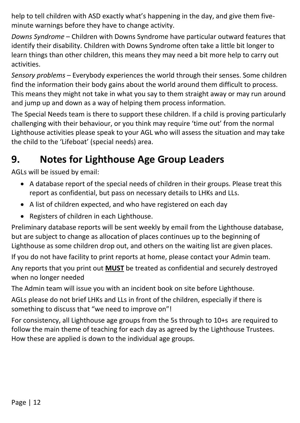help to tell children with ASD exactly what's happening in the day, and give them fiveminute warnings before they have to change activity.

*Downs Syndrome* – Children with Downs Syndrome have particular outward features that identify their disability. Children with Downs Syndrome often take a little bit longer to learn things than other children, this means they may need a bit more help to carry out activities.

*Sensory problems* – Everybody experiences the world through their senses. Some children find the information their body gains about the world around them difficult to process. This means they might not take in what you say to them straight away or may run around and jump up and down as a way of helping them process information.

The Special Needs team is there to support these children. If a child is proving particularly challenging with their behaviour, or you think may require 'time out' from the normal Lighthouse activities please speak to your AGL who will assess the situation and may take the child to the 'Lifeboat' (special needs) area.

# **9. Notes for Lighthouse Age Group Leaders**

AGLs will be issued by email:

- A database report of the special needs of children in their groups. Please treat this report as confidential, but pass on necessary details to LHKs and LLs.
- A list of children expected, and who have registered on each day
- Registers of children in each Lighthouse.

Preliminary database reports will be sent weekly by email from the Lighthouse database, but are subject to change as allocation of places continues up to the beginning of Lighthouse as some children drop out, and others on the waiting list are given places.

If you do not have facility to print reports at home, please contact your Admin team. Any reports that you print out **MUST** be treated as confidential and securely destroyed when no longer needed

The Admin team will issue you with an incident book on site before Lighthouse.

AGLs please do not brief LHKs and LLs in front of the children, especially if there is something to discuss that "we need to improve on"!

For consistency, all Lighthouse age groups from the 5s through to 10+s are required to follow the main theme of teaching for each day as agreed by the Lighthouse Trustees. How these are applied is down to the individual age groups.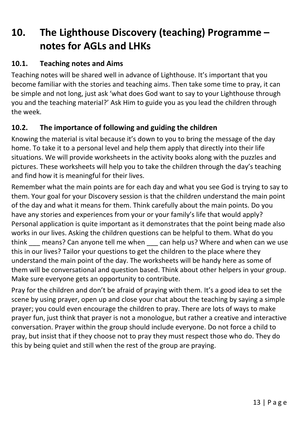# **10. The Lighthouse Discovery (teaching) Programme – notes for AGLs and LHKs**

#### **10.1. Teaching notes and Aims**

Teaching notes will be shared well in advance of Lighthouse. It's important that you become familiar with the stories and teaching aims. Then take some time to pray, it can be simple and not long, just ask 'what does God want to say to your Lighthouse through you and the teaching material?' Ask Him to guide you as you lead the children through the week.

#### **10.2. The importance of following and guiding the children**

Knowing the material is vital because it's down to you to bring the message of the day home. To take it to a personal level and help them apply that directly into their life situations. We will provide worksheets in the activity books along with the puzzles and pictures. These worksheets will help you to take the children through the day's teaching and find how it is meaningful for their lives.

Remember what the main points are for each day and what you see God is trying to say to them. Your goal for your Discovery session is that the children understand the main point of the day and what it means for them. Think carefully about the main points. Do you have any stories and experiences from your or your family's life that would apply? Personal application is quite important as it demonstrates that the point being made also works in our lives. Asking the children questions can be helpful to them. What do you think means? Can anyone tell me when can help us? Where and when can we use this in our lives? Tailor your questions to get the children to the place where they understand the main point of the day. The worksheets will be handy here as some of them will be conversational and question based. Think about other helpers in your group. Make sure everyone gets an opportunity to contribute.

Pray for the children and don't be afraid of praying with them. It's a good idea to set the scene by using prayer, open up and close your chat about the teaching by saying a simple prayer; you could even encourage the children to pray. There are lots of ways to make prayer fun, just think that prayer is not a monologue, but rather a creative and interactive conversation. Prayer within the group should include everyone. Do not force a child to pray, but insist that if they choose not to pray they must respect those who do. They do this by being quiet and still when the rest of the group are praying.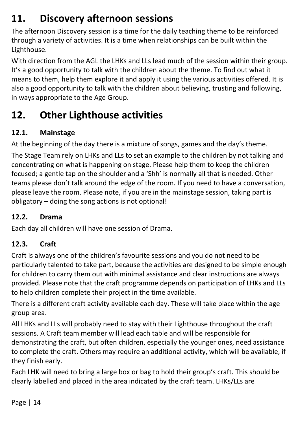# **11. Discovery afternoon sessions**

The afternoon Discovery session is a time for the daily teaching theme to be reinforced through a variety of activities. It is a time when relationships can be built within the Lighthouse.

With direction from the AGL the LHKs and LLs lead much of the session within their group. It's a good opportunity to talk with the children about the theme. To find out what it means to them, help them explore it and apply it using the various activities offered. It is also a good opportunity to talk with the children about believing, trusting and following, in ways appropriate to the Age Group.

# **12. Other Lighthouse activities**

#### **12.1. Mainstage**

At the beginning of the day there is a mixture of songs, games and the day's theme.

The Stage Team rely on LHKs and LLs to set an example to the children by not talking and concentrating on what is happening on stage. Please help them to keep the children focused; a gentle tap on the shoulder and a 'Shh' is normally all that is needed. Other teams please don't talk around the edge of the room. If you need to have a conversation, please leave the room. Please note, if you are in the mainstage session, taking part is obligatory – doing the song actions is not optional!

#### **12.2. Drama**

Each day all children will have one session of Drama.

#### **12.3. Craft**

Craft is always one of the children's favourite sessions and you do not need to be particularly talented to take part, because the activities are designed to be simple enough for children to carry them out with minimal assistance and clear instructions are always provided. Please note that the craft programme depends on participation of LHKs and LLs to help children complete their project in the time available.

There is a different craft activity available each day. These will take place within the age group area.

All LHKs and LLs will probably need to stay with their Lighthouse throughout the craft sessions. A Craft team member will lead each table and will be responsible for demonstrating the craft, but often children, especially the younger ones, need assistance to complete the craft. Others may require an additional activity, which will be available, if they finish early.

Each LHK will need to bring a large box or bag to hold their group's craft. This should be clearly labelled and placed in the area indicated by the craft team. LHKs/LLs are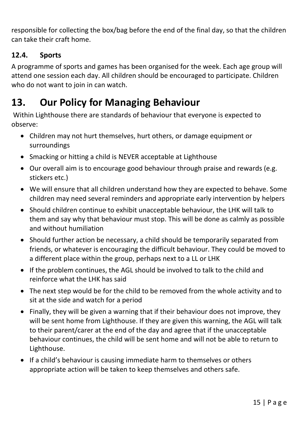responsible for collecting the box/bag before the end of the final day, so that the children can take their craft home.

#### **12.4. Sports**

A programme of sports and games has been organised for the week. Each age group will attend one session each day. All children should be encouraged to participate. Children who do not want to join in can watch.

# **13. Our Policy for Managing Behaviour**

Within Lighthouse there are standards of behaviour that everyone is expected to observe:

- Children may not hurt themselves, hurt others, or damage equipment or surroundings
- Smacking or hitting a child is NEVER acceptable at Lighthouse
- Our overall aim is to encourage good behaviour through praise and rewards (e.g. stickers etc.)
- We will ensure that all children understand how they are expected to behave. Some children may need several reminders and appropriate early intervention by helpers
- Should children continue to exhibit unacceptable behaviour, the LHK will talk to them and say why that behaviour must stop. This will be done as calmly as possible and without humiliation
- Should further action be necessary, a child should be temporarily separated from friends, or whatever is encouraging the difficult behaviour. They could be moved to a different place within the group, perhaps next to a LL or LHK
- If the problem continues, the AGL should be involved to talk to the child and reinforce what the LHK has said
- The next step would be for the child to be removed from the whole activity and to sit at the side and watch for a period
- Finally, they will be given a warning that if their behaviour does not improve, they will be sent home from Lighthouse. If they are given this warning, the AGL will talk to their parent/carer at the end of the day and agree that if the unacceptable behaviour continues, the child will be sent home and will not be able to return to Lighthouse.
- If a child's behaviour is causing immediate harm to themselves or others appropriate action will be taken to keep themselves and others safe.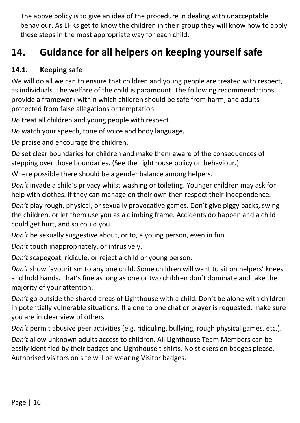The above policy is to give an idea of the procedure in dealing with unacceptable behaviour. As LHKs get to know the children in their group they will know how to apply these steps in the most appropriate way for each child.

# **14. Guidance for all helpers on keeping yourself safe**

#### **14.1. Keeping safe**

We will do all we can to ensure that children and young people are treated with respect, as individuals. The welfare of the child is paramount. The following recommendations provide a framework within which children should be safe from harm, and adults protected from false allegations or temptation.

*Do* treat all children and young people with respect.

*Do* watch your speech, tone of voice and body language*.*

*Do* praise and encourage the children.

*Do* set clear boundaries for children and make them aware of the consequences of stepping over those boundaries. (See the Lighthouse policy on behaviour.)

Where possible there should be a gender balance among helpers.

*Don't* invade a child's privacy whilst washing or toileting. Younger children may ask for help with clothes. If they can manage on their own then respect their independence.

*Don't* play rough, physical, or sexually provocative games. Don't give piggy backs, swing the children, or let them use you as a climbing frame. Accidents do happen and a child could get hurt, and so could you.

*Don't* be sexually suggestive about, or to, a young person, even in fun.

*Don't* touch inappropriately, or intrusively.

*Don't* scapegoat, ridicule, or reject a child or young person.

*Don't* show favouritism to any one child. Some children will want to sit on helpers' knees and hold hands. That's fine as long as one or two children don't dominate and take the majority of your attention.

*Don't* go outside the shared areas of Lighthouse with a child. Don't be alone with children in potentially vulnerable situations. If a one to one chat or prayer is requested, make sure you are in clear view of others.

*Don't* permit abusive peer activities (e.g. ridiculing, bullying, rough physical games, etc.). *Don't* allow unknown adults access to children. All Lighthouse Team Members can be easily identified by their badges and Lighthouse t-shirts. No stickers on badges please. Authorised visitors on site will be wearing Visitor badges.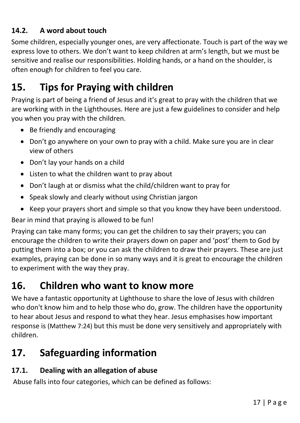#### **14.2. A word about touch**

Some children, especially younger ones, are very affectionate. Touch is part of the way we express love to others. We don't want to keep children at arm's length, but we must be sensitive and realise our responsibilities. Holding hands, or a hand on the shoulder, is often enough for children to feel you care.

### **15. Tips for Praying with children**

Praying is part of being a friend of Jesus and it's great to pray with the children that we are working with in the Lighthouses. Here are just a few guidelines to consider and help you when you pray with the children.

- Be friendly and encouraging
- Don't go anywhere on your own to pray with a child. Make sure you are in clear view of others
- Don't lay your hands on a child
- Listen to what the children want to pray about
- Don't laugh at or dismiss what the child/children want to pray for
- Speak slowly and clearly without using Christian jargon
- Keep your prayers short and simple so that you know they have been understood.

Bear in mind that praying is allowed to be fun!

Praying can take many forms; you can get the children to say their prayers; you can encourage the children to write their prayers down on paper and 'post' them to God by putting them into a box; or you can ask the children to draw their prayers. These are just examples, praying can be done in so many ways and it is great to encourage the children to experiment with the way they pray.

### **16. Children who want to know more**

We have a fantastic opportunity at Lighthouse to share the love of Jesus with children who don't know him and to help those who do, grow. The children have the opportunity to hear about Jesus and respond to what they hear. Jesus emphasises how important response is (Matthew 7:24) but this must be done very sensitively and appropriately with children.

### **17. Safeguarding information**

#### **17.1. Dealing with an allegation of abuse**

Abuse falls into four categories, which can be defined as follows: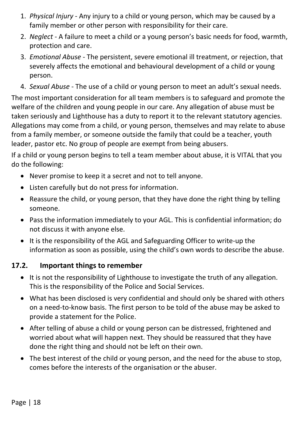- 1. *Physical Injury* Any injury to a child or young person, which may be caused by a family member or other person with responsibility for their care.
- 2. *Neglect* A failure to meet a child or a young person's basic needs for food, warmth, protection and care.
- 3. *Emotional Abuse* The persistent, severe emotional ill treatment, or rejection, that severely affects the emotional and behavioural development of a child or young person.
- 4. *Sexual Abuse* The use of a child or young person to meet an adult's sexual needs.

The most important consideration for all team members is to safeguard and promote the welfare of the children and young people in our care. Any allegation of abuse must be taken seriously and Lighthouse has a duty to report it to the relevant statutory agencies. Allegations may come from a child, or young person, themselves and may relate to abuse from a family member, or someone outside the family that could be a teacher, youth leader, pastor etc. No group of people are exempt from being abusers.

If a child or young person begins to tell a team member about abuse, it is VITAL that you do the following:

- Never promise to keep it a secret and not to tell anyone.
- Listen carefully but do not press for information.
- Reassure the child, or young person, that they have done the right thing by telling someone.
- Pass the information immediately to your AGL. This is confidential information; do not discuss it with anyone else.
- It is the responsibility of the AGL and Safeguarding Officer to write-up the information as soon as possible, using the child's own words to describe the abuse.

#### **17.2. Important things to remember**

- It is not the responsibility of Lighthouse to investigate the truth of any allegation. This is the responsibility of the Police and Social Services.
- What has been disclosed is very confidential and should only be shared with others on a need-to-know basis. The first person to be told of the abuse may be asked to provide a statement for the Police.
- After telling of abuse a child or young person can be distressed, frightened and worried about what will happen next. They should be reassured that they have done the right thing and should not be left on their own.
- The best interest of the child or young person, and the need for the abuse to stop, comes before the interests of the organisation or the abuser.